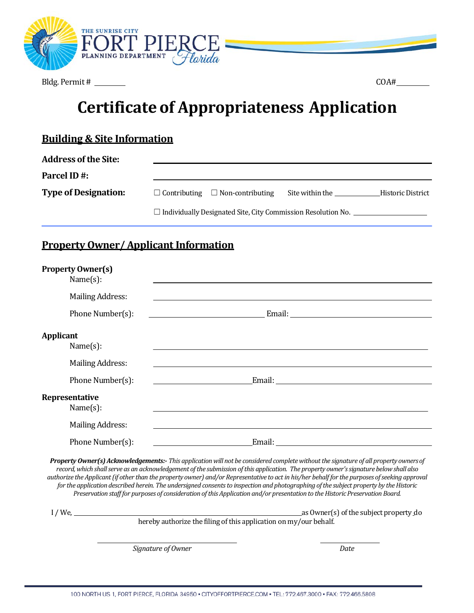

Bldg. Permit # COA#

# **Certificate of Appropriateness Application**

### **Building & Site Information**

| <b>Address of the Site:</b> |                                                                            |                                             |                 |                   |
|-----------------------------|----------------------------------------------------------------------------|---------------------------------------------|-----------------|-------------------|
| <b>Parcel ID#:</b>          |                                                                            |                                             |                 |                   |
| <b>Type of Designation:</b> |                                                                            | $\Box$ Contributing $\Box$ Non-contributing | Site within the | Historic District |
|                             | $\Box$ Individually Designated Site, City Commission Resolution No. $\Box$ |                                             |                 |                   |

### **Property Owner/ Applicant Information**

|                  | <b>Property Owner(s)</b><br>Name $(s)$ : |                                                                                                                                                                                                                                      |
|------------------|------------------------------------------|--------------------------------------------------------------------------------------------------------------------------------------------------------------------------------------------------------------------------------------|
|                  | <b>Mailing Address:</b>                  |                                                                                                                                                                                                                                      |
|                  | Phone Number(s):                         | <u>Email:</u> Email: Email: Email: Email: Email: Email: Email: Email: Email: Email: Email: Email: Email: Email: Email: Email: Email: Email: Email: Email: Email: Email: Email: Email: Email: Email: Email: Email: Email: Email: Ema  |
| <b>Applicant</b> | Name $(s)$ :                             |                                                                                                                                                                                                                                      |
|                  | <b>Mailing Address:</b>                  |                                                                                                                                                                                                                                      |
|                  | Phone Number(s):                         | Email: <u>Email: Email: Email: Email: Email: Email: Email: Email: Email: Email: Email: Email: Email: Email: Email: Email: Email: Email: Email: Email: Email: Email: Email: Email: Email: Email: Email: Email: Email: Email: Emai</u> |
|                  | Representative<br>Name(s):               |                                                                                                                                                                                                                                      |
|                  | <b>Mailing Address:</b>                  |                                                                                                                                                                                                                                      |
|                  | Phone Number(s):                         | Email: The Company of the Company of the Company of the Company of the Company of the Company of the Company of the Company of the Company of the Company of the Company of the Company of the Company of the Company of the C       |

*PropertyOwner(s) Acknowledgements:- This applicationwill not be considered completewithoutthe signature of all property ownersof*  record, which shall serve as an acknowledgement of the submission of this application. The property owner's signature below shall also authorize the Applicant (if other than the property owner) and/or Representative to act in his/her behalf for the purposes of seeking approval for the application described herein. The undersigned consents to inspection and photographing of the subject property by the Historic Preservation staff for purposes of consideration of this Application and/or presentation to the Historic Preservation Board.

I / We, as Owner(s) ofthe subjectproperty do hereby authorize the filing of this application on my/our behalf.

*Signature of Owner Date*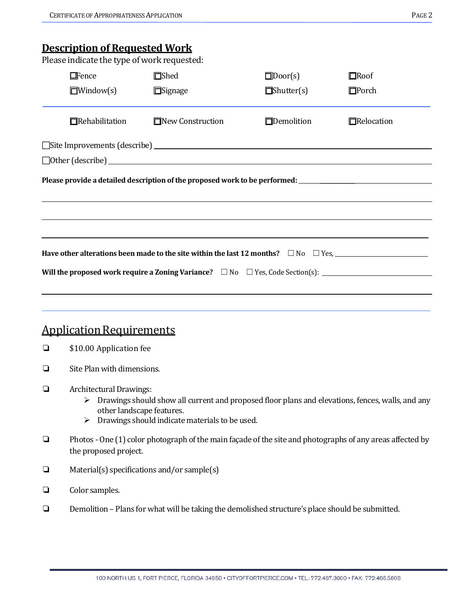### **Description of Requested Work**

Please indicate the type of work requested:

|        | I icase marcate the type of work requested.<br>$\Box$ Fence                                                                        | $\square$ Shed                                 | $\Box$ Door(s)    | $\Box$ Roof                                                                                                       |  |  |
|--------|------------------------------------------------------------------------------------------------------------------------------------|------------------------------------------------|-------------------|-------------------------------------------------------------------------------------------------------------------|--|--|
|        | $\Box$ Window(s)                                                                                                                   | $\Box$ Signage                                 | $\Box$ Shutter(s) | $\square$ Porch                                                                                                   |  |  |
|        | Rehabilitation                                                                                                                     | $\Box$ New Construction                        | $\Box$ Demolition | Relocation                                                                                                        |  |  |
|        |                                                                                                                                    |                                                |                   |                                                                                                                   |  |  |
|        |                                                                                                                                    | $\Box$ Other (describe)                        |                   |                                                                                                                   |  |  |
|        |                                                                                                                                    |                                                |                   | Please provide a detailed description of the proposed work to be performed: __________________________________    |  |  |
|        |                                                                                                                                    |                                                |                   |                                                                                                                   |  |  |
|        |                                                                                                                                    |                                                |                   |                                                                                                                   |  |  |
|        |                                                                                                                                    |                                                |                   |                                                                                                                   |  |  |
|        |                                                                                                                                    |                                                |                   |                                                                                                                   |  |  |
|        |                                                                                                                                    |                                                |                   |                                                                                                                   |  |  |
|        |                                                                                                                                    |                                                |                   | Will the proposed work require a Zoning Variance? $\square$ No $\square$ Yes, Code Section(s):                    |  |  |
|        |                                                                                                                                    |                                                |                   |                                                                                                                   |  |  |
|        |                                                                                                                                    |                                                |                   |                                                                                                                   |  |  |
|        | <b>Application Requirements</b>                                                                                                    |                                                |                   |                                                                                                                   |  |  |
| ❏      | \$10.00 Application fee                                                                                                            |                                                |                   |                                                                                                                   |  |  |
| ❏      | Site Plan with dimensions.                                                                                                         |                                                |                   |                                                                                                                   |  |  |
|        |                                                                                                                                    |                                                |                   |                                                                                                                   |  |  |
| ❏      | Architectural Drawings:                                                                                                            |                                                |                   | $\triangleright$ Drawings should show all current and proposed floor plans and elevations, fences, walls, and any |  |  |
|        |                                                                                                                                    | other landscape features.                      |                   |                                                                                                                   |  |  |
|        | ➤                                                                                                                                  | Drawings should indicate materials to be used. |                   |                                                                                                                   |  |  |
| $\Box$ | Photos - One (1) color photograph of the main façade of the site and photographs of any areas affected by<br>the proposed project. |                                                |                   |                                                                                                                   |  |  |
| ❏      | Material(s) specifications and/or sample(s)                                                                                        |                                                |                   |                                                                                                                   |  |  |
| ❏      | Color samples.                                                                                                                     |                                                |                   |                                                                                                                   |  |  |
| ❏      | Demolition - Plans for what will be taking the demolished structure's place should be submitted.                                   |                                                |                   |                                                                                                                   |  |  |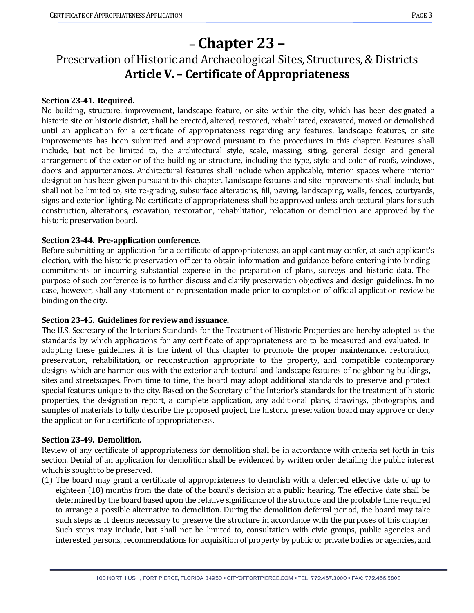# **– Chapter 23 –**

## Preservation of Historic and Archaeological Sites, Structures,& Districts **Article V. – Certificate of Appropriateness**

#### **Section 23-41. Required.**

No building, structure, improvement, landscape feature, or site within the city, which has been designated a historic site or historic district, shall be erected, altered, restored, rehabilitated, excavated, moved or demolished until an application for a certificate of appropriateness regarding any features, landscape features, or site improvements has been submitted and approved pursuant to the procedures in this chapter. Features shall include, but not be limited to, the architectural style, scale, massing, siting, general design and general arrangement of the exterior of the building or structure, including the type, style and color of roofs, windows, doors and appurtenances. Architectural features shall include when applicable, interior spaces where interior designation has been given pursuant to this chapter. Landscape features and site improvements shall include, but shall not be limited to, site re-grading, subsurface alterations, fill, paving, landscaping, walls, fences, courtyards, signs and exterior lighting. No certificate of appropriateness shall be approved unless architectural plans for such construction, alterations, excavation, restoration, rehabilitation, relocation or demolition are approved by the historic preservation board.

#### **Section 23-44. Pre-application conference.**

Before submitting an application for a certificate of appropriateness, an applicant may confer, at such applicant's election, with the historic preservation officer to obtain information and guidance before entering into binding commitments or incurring substantial expense in the preparation of plans, surveys and historic data. The purpose of such conference is to further discuss and clarify preservation objectives and design guidelines. In no case, however, shall any statement or representation made prior to completion of official application review be binding on the city.

#### **Section 23-45. Guidelines for review and issuance.**

The U.S. Secretary of the Interiors Standards for the Treatment of Historic Properties are hereby adopted as the standards by which applications for any certificate of appropriateness are to be measured and evaluated. In adopting these guidelines, it is the intent of this chapter to promote the proper maintenance, restoration, preservation, rehabilitation, or reconstruction appropriate to the property, and compatible contemporary designs which are harmonious with the exterior architectural and landscape features of neighboring buildings, sites and streetscapes. From time to time, the board may adopt additional standards to preserve and protect special features unique to the city. Based on the Secretary of the Interior's standards for the treatment of historic properties, the designation report, a complete application, any additional plans, drawings, photographs, and samples of materials to fully describe the proposed project, the historic preservation board may approve or deny the application for a certificate of appropriateness.

#### **Section 23-49. Demolition.**

Review of any certificate of appropriateness for demolition shall be in accordance with criteria set forth in this section. Denial of an application for demolition shall be evidenced by written order detailing the public interest which is sought to be preserved.

(1) The board may grant a certificate of appropriateness to demolish with a deferred effective date of up to eighteen (18) months from the date of the board's decision at a public hearing. The effective date shall be determined by the board based upon the relative significance of the structure and the probable time required to arrange a possible alternative to demolition. During the demolition deferral period, the board may take such steps as it deems necessary to preserve the structure in accordance with the purposes of this chapter. Such steps may include, but shall not be limited to, consultation with civic groups, public agencies and interested persons, recommendations for acquisition of property by public or private bodies or agencies, and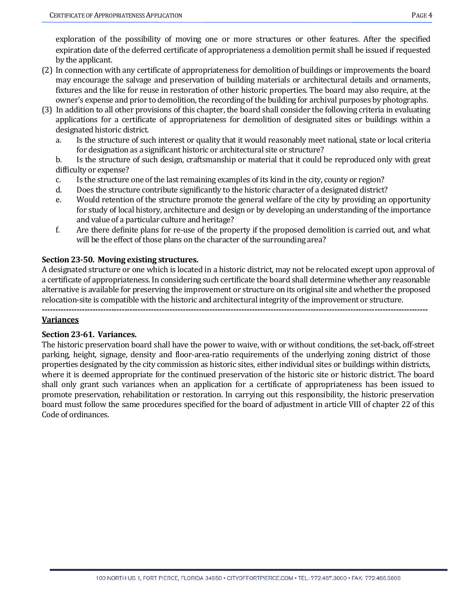exploration of the possibility of moving one or more structures or other features. After the specified expiration date of the deferred certificate of appropriateness a demolition permit shall be issued if requested by the applicant.

- (2) In connection with any certificate of appropriateness for demolition of buildings or improvements the board may encourage the salvage and preservation of building materials or architectural details and ornaments, fixtures and the like for reuse in restoration of other historic properties. The board may also require, at the owner's expense and prior to demolition, the recording of the building for archival purposes by photographs.
- (3) In addition to all other provisions of this chapter, the board shall consider the following criteria in evaluating applications for a certificate of appropriateness for demolition of designated sites or buildings within a designated historic district.
	- a. Is the structure of such interest or quality that it would reasonably meet national, state or local criteria for designation as a significant historic or architectural site or structure?
	- b. Is the structure of such design, craftsmanship or material that it could be reproduced only with great difficulty or expense?
	- c. Is the structure one of the last remaining examples of its kind in the city, county or region?
	- d. Does the structure contribute significantly to the historic character of a designated district?<br>e. Would retention of the structure promote the general welfare of the city by providing an
	- Would retention of the structure promote the general welfare of the city by providing an opportunity for study of local history, architecture and design or by developing an understanding of the importance and value of a particular culture and heritage?
	- f. Are there definite plans for re-use of the property if the proposed demolition is carried out, and what will be the effect of those plans on the character of the surrounding area?

#### **Section 23-50. Moving existing structures.**

A designated structure or one which is located in a historic district, may not be relocated except upon approval of a certificate of appropriateness. In considering such certificate the board shall determine whether any reasonable alternative is available for preserving the improvement or structure on its original site and whether the proposed relocation-site is compatible with the historic and architectural integrity of the improvement or structure.

**-------------------------------------------------------------------------------------------------------------------------------------------------**

#### **Variances**

#### **Section 23-61. Variances.**

The historic preservation board shall have the power to waive, with or without conditions, the set-back, off-street parking, height, signage, density and floor-area-ratio requirements of the underlying zoning district of those properties designated by the city commission as historic sites, either individual sites or buildings within districts, where it is deemed appropriate for the continued preservation of the historic site or historic district. The board shall only grant such variances when an application for a certificate of appropriateness has been issued to promote preservation, rehabilitation or restoration. In carrying out this responsibility, the historic preservation board must follow the same procedures specified for the board of adjustment in article VIII of chapter 22 of this Code of ordinances.